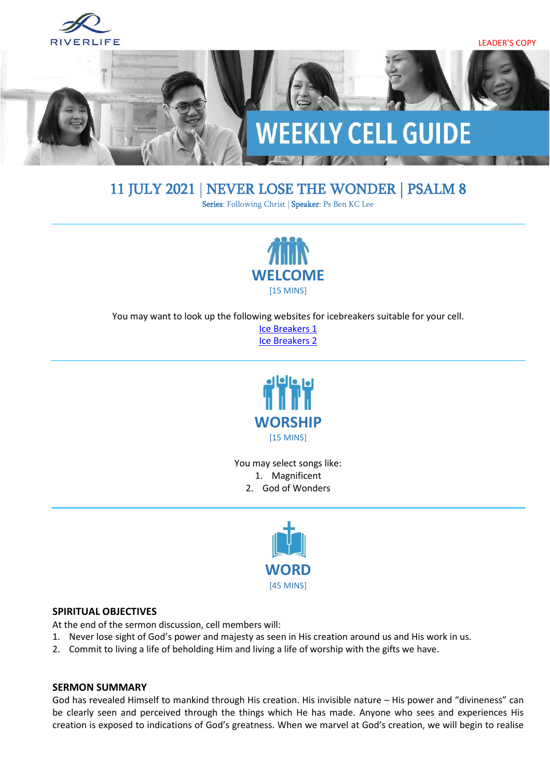

# 11 JULY 2021 | NEVER LOSE THE WONDER | [PSALM 8](https://www.biblegateway.com/passage/?search=psalm+8&version=ESV)

Series: Following Christ | Speaker: Ps Ben KC Lee



You may want to look up the following websites for icebreakers suitable for your cell.

[Ice Breakers 1](http://www.thesource4ym.com/games/) [Ice Breakers 2](http://www.christianitytoday.com/smallgroups/articles/icebreakersbeyond.html)



You may select songs like: 1. Magnificent 2. God of Wonders



#### **SPIRITUAL OBJECTIVES**

At the end of the sermon discussion, cell members will:

- 1. Never lose sight of God's power and majesty as seen in His creation around us and His work in us.
- 2. Commit to living a life of beholding Him and living a life of worship with the gifts we have.

#### **SERMON SUMMARY**

God has revealed Himself to mankind through His creation. His invisible nature – His power and "divineness" can be clearly seen and perceived through the things which He has made. Anyone who sees and experiences His creation is exposed to indications of God's greatness. When we marvel at God's creation, we will begin to realise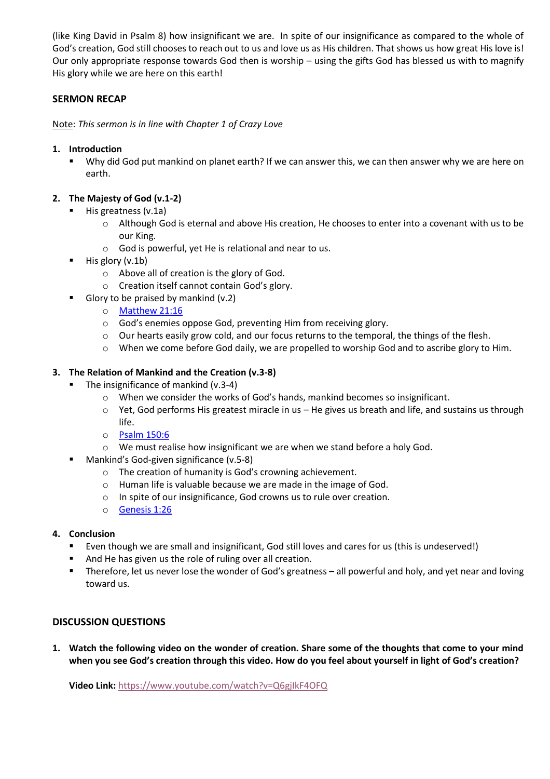(like King David in Psalm 8) how insignificant we are. In spite of our insignificance as compared to the whole of God's creation, God still chooses to reach out to us and love us as His children. That shows us how great His love is! Our only appropriate response towards God then is worship – using the gifts God has blessed us with to magnify His glory while we are here on this earth!

# **SERMON RECAP**

Note: *This sermon is in line with Chapter 1 of Crazy Love*

# **1. Introduction**

Why did God put mankind on planet earth? If we can answer this, we can then answer why we are here on earth.

# **2. The Majesty of God (v.1-2)**

- His greatness (v.1a)
	- o Although God is eternal and above His creation, He chooses to enter into a covenant with us to be our King.
	- o God is powerful, yet He is relational and near to us.
- $\blacksquare$  His glory (v.1b)
	- o Above all of creation is the glory of God.
	- o Creation itself cannot contain God's glory.
- Glory to be praised by mankind  $(v.2)$ 
	- o [Matthew 21:16](https://www.biblegateway.com/passage/?search=Matthew+21%3A16&version=ESV)
	- o God's enemies oppose God, preventing Him from receiving glory.
	- o Our hearts easily grow cold, and our focus returns to the temporal, the things of the flesh.
	- o When we come before God daily, we are propelled to worship God and to ascribe glory to Him.

# **3. The Relation of Mankind and the Creation (v.3-8)**

- The insignificance of mankind (v.3-4)
	- o When we consider the works of God's hands, mankind becomes so insignificant.
	- $\circ$  Yet, God performs His greatest miracle in us He gives us breath and life, and sustains us through life.
	- o [Psalm 150:6](https://www.biblegateway.com/passage/?search=Psalm+150%3A6+&version=ESV)
	- o We must realise how insignificant we are when we stand before a holy God.
- Mankind's God-given significance (v.5-8)
	- o The creation of humanity is God's crowning achievement.
	- o Human life is valuable because we are made in the image of God.
	- o In spite of our insignificance, God crowns us to rule over creation.
	- o [Genesis 1:26](https://www.biblegateway.com/passage/?search=Genesis+1%3A26&version=ESV)

# **4. Conclusion**

- Even though we are small and insignificant, God still loves and cares for us (this is undeserved!)
- And He has given us the role of ruling over all creation.
- Therefore, let us never lose the wonder of God's greatness all powerful and holy, and yet near and loving toward us.

# **DISCUSSION QUESTIONS**

**1. Watch the following video on the wonder of creation. Share some of the thoughts that come to your mind when you see God's creation through this video. How do you feel about yourself in light of God's creation?**

**Video Link:** <https://www.youtube.com/watch?v=Q6gjIkF4OFQ>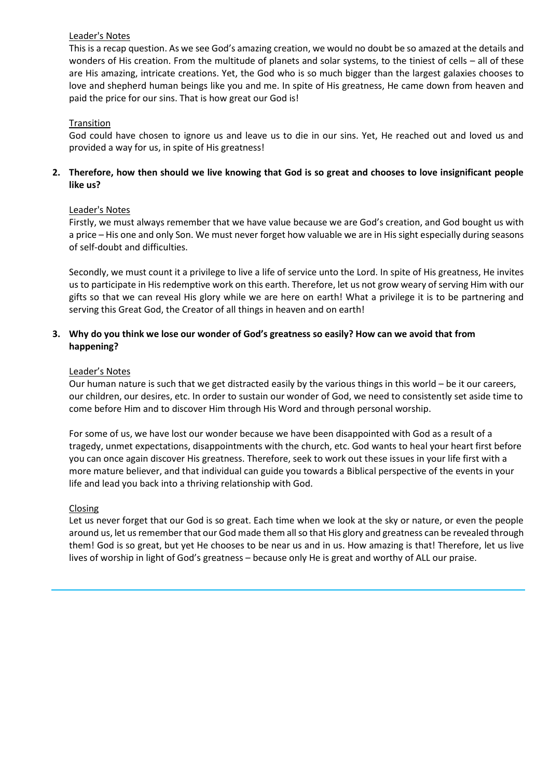## Leader's Notes

This is a recap question. As we see God's amazing creation, we would no doubt be so amazed at the details and wonders of His creation. From the multitude of planets and solar systems, to the tiniest of cells – all of these are His amazing, intricate creations. Yet, the God who is so much bigger than the largest galaxies chooses to love and shepherd human beings like you and me. In spite of His greatness, He came down from heaven and paid the price for our sins. That is how great our God is!

# **Transition**

God could have chosen to ignore us and leave us to die in our sins. Yet, He reached out and loved us and provided a way for us, in spite of His greatness!

# **2. Therefore, how then should we live knowing that God is so great and chooses to love insignificant people like us?**

## Leader's Notes

Firstly, we must always remember that we have value because we are God's creation, and God bought us with a price – His one and only Son. We must never forget how valuable we are in His sight especially during seasons of self-doubt and difficulties.

Secondly, we must count it a privilege to live a life of service unto the Lord. In spite of His greatness, He invites us to participate in His redemptive work on this earth. Therefore, let us not grow weary of serving Him with our gifts so that we can reveal His glory while we are here on earth! What a privilege it is to be partnering and serving this Great God, the Creator of all things in heaven and on earth!

# **3. Why do you think we lose our wonder of God's greatness so easily? How can we avoid that from happening?**

#### Leader's Notes

Our human nature is such that we get distracted easily by the various things in this world – be it our careers, our children, our desires, etc. In order to sustain our wonder of God, we need to consistently set aside time to come before Him and to discover Him through His Word and through personal worship.

For some of us, we have lost our wonder because we have been disappointed with God as a result of a tragedy, unmet expectations, disappointments with the church, etc. God wants to heal your heart first before you can once again discover His greatness. Therefore, seek to work out these issues in your life first with a more mature believer, and that individual can guide you towards a Biblical perspective of the events in your life and lead you back into a thriving relationship with God.

#### Closing

Let us never forget that our God is so great. Each time when we look at the sky or nature, or even the people around us, let us remember that our God made them all so that His glory and greatness can be revealed through them! God is so great, but yet He chooses to be near us and in us. How amazing is that! Therefore, let us live lives of worship in light of God's greatness – because only He is great and worthy of ALL our praise.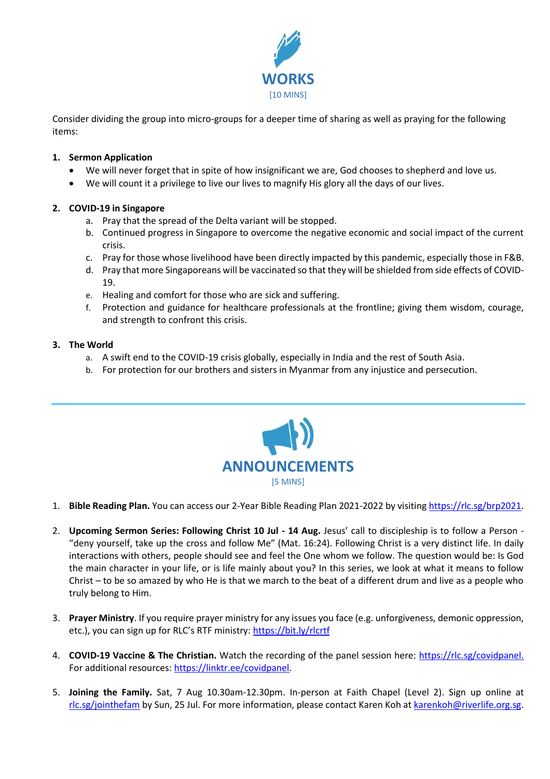

Consider dividing the group into micro-groups for a deeper time of sharing as well as praying for the following items:

## **1. Sermon Application**

- We will never forget that in spite of how insignificant we are, God chooses to shepherd and love us.
- We will count it a privilege to live our lives to magnify His glory all the days of our lives.

## **2. COVID-19 in Singapore**

- a. Pray that the spread of the Delta variant will be stopped.
- b. Continued progress in Singapore to overcome the negative economic and social impact of the current crisis.
- c. Pray for those whose livelihood have been directly impacted by this pandemic, especially those in F&B.
- d. Pray that more Singaporeans will be vaccinated so that they will be shielded from side effects of COVID-19.
- e. Healing and comfort for those who are sick and suffering.
- f. Protection and guidance for healthcare professionals at the frontline; giving them wisdom, courage, and strength to confront this crisis.

## **3. The World**

- a. A swift end to the COVID-19 crisis globally, especially in India and the rest of South Asia.
- b. For protection for our brothers and sisters in Myanmar from any injustice and persecution.



- 1. **Bible Reading Plan.** You can access our 2-Year Bible Reading Plan 2021-2022 by visiting [https://rlc.sg/brp2021.](https://rlc.sg/brp2021)
- 2. **Upcoming Sermon Series: Following Christ 10 Jul - 14 Aug.** Jesus' call to discipleship is to follow a Person "deny yourself, take up the cross and follow Me" (Mat. 16:24). Following Christ is a very distinct life. In daily interactions with others, people should see and feel the One whom we follow. The question would be: Is God the main character in your life, or is life mainly about you? In this series, we look at what it means to follow Christ – to be so amazed by who He is that we march to the beat of a different drum and live as a people who truly belong to Him.
- 3. **Prayer Ministry**. If you require prayer ministry for any issues you face (e.g. unforgiveness, demonic oppression, etc.), you can sign up for RLC's RTF ministry: <https://bit.ly/rlcrtf>
- 4. **COVID-19 Vaccine & The Christian.** Watch the recording of the panel session here: [https://rlc.sg/covidpanel.](https://rlc.sg/covidpanel) For additional resources: [https://linktr.ee/covidpanel.](https://linktr.ee/covidpanel)
- 5. **Joining the Family.** Sat, 7 Aug 10.30am-12.30pm. In-person at Faith Chapel (Level 2). Sign up online at [rlc.sg/jointhefam](https://rlc.sg/jointhefam) by Sun, 25 Jul. For more information, please contact Karen Koh a[t karenkoh@riverlife.org.sg.](mailto:karenkoh@riverlife.org.sg)